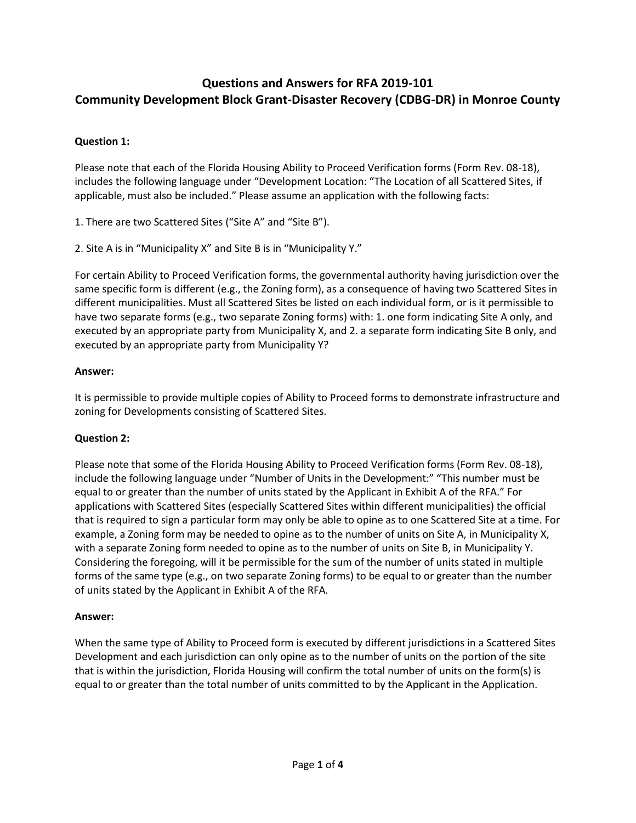# **Questions and Answers for RFA 2019-101 Community Development Block Grant-Disaster Recovery (CDBG-DR) in Monroe County**

# **Question 1:**

Please note that each of the Florida Housing Ability to Proceed Verification forms (Form Rev. 08-18), includes the following language under "Development Location: "The Location of all Scattered Sites, if applicable, must also be included." Please assume an application with the following facts:

1. There are two Scattered Sites ("Site A" and "Site B").

2. Site A is in "Municipality X" and Site B is in "Municipality Y."

For certain Ability to Proceed Verification forms, the governmental authority having jurisdiction over the same specific form is different (e.g., the Zoning form), as a consequence of having two Scattered Sites in different municipalities. Must all Scattered Sites be listed on each individual form, or is it permissible to have two separate forms (e.g., two separate Zoning forms) with: 1. one form indicating Site A only, and executed by an appropriate party from Municipality X, and 2. a separate form indicating Site B only, and executed by an appropriate party from Municipality Y?

## **Answer:**

It is permissible to provide multiple copies of Ability to Proceed forms to demonstrate infrastructure and zoning for Developments consisting of Scattered Sites.

# **Question 2:**

Please note that some of the Florida Housing Ability to Proceed Verification forms (Form Rev. 08-18), include the following language under "Number of Units in the Development:" "This number must be equal to or greater than the number of units stated by the Applicant in Exhibit A of the RFA." For applications with Scattered Sites (especially Scattered Sites within different municipalities) the official that is required to sign a particular form may only be able to opine as to one Scattered Site at a time. For example, a Zoning form may be needed to opine as to the number of units on Site A, in Municipality X, with a separate Zoning form needed to opine as to the number of units on Site B, in Municipality Y. Considering the foregoing, will it be permissible for the sum of the number of units stated in multiple forms of the same type (e.g., on two separate Zoning forms) to be equal to or greater than the number of units stated by the Applicant in Exhibit A of the RFA.

#### **Answer:**

When the same type of Ability to Proceed form is executed by different jurisdictions in a Scattered Sites Development and each jurisdiction can only opine as to the number of units on the portion of the site that is within the jurisdiction, Florida Housing will confirm the total number of units on the form(s) is equal to or greater than the total number of units committed to by the Applicant in the Application.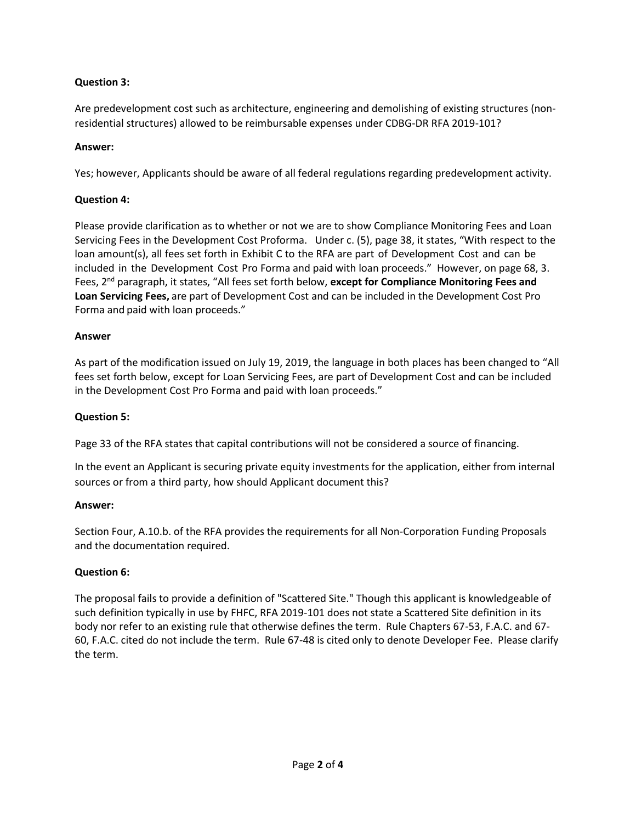# **Question 3:**

Are predevelopment cost such as architecture, engineering and demolishing of existing structures (nonresidential structures) allowed to be reimbursable expenses under CDBG-DR RFA 2019-101?

## **Answer:**

Yes; however, Applicants should be aware of all federal regulations regarding predevelopment activity.

## **Question 4:**

Please provide clarification as to whether or not we are to show Compliance Monitoring Fees and Loan Servicing Fees in the Development Cost Proforma. Under c. (5), page 38, it states, "With respect to the loan amount(s), all fees set forth in Exhibit C to the RFA are part of Development Cost and can be included in the Development Cost Pro Forma and paid with loan proceeds." However, on page 68, 3. Fees, 2nd paragraph, it states, "All fees set forth below, **except for Compliance Monitoring Fees and Loan Servicing Fees,** are part of Development Cost and can be included in the Development Cost Pro Forma and paid with loan proceeds."

## **Answer**

As part of the modification issued on July 19, 2019, the language in both places has been changed to "All fees set forth below, except for Loan Servicing Fees, are part of Development Cost and can be included in the Development Cost Pro Forma and paid with loan proceeds."

#### **Question 5:**

Page 33 of the RFA states that capital contributions will not be considered a source of financing.

In the event an Applicant is securing private equity investments for the application, either from internal sources or from a third party, how should Applicant document this?

#### **Answer:**

Section Four, A.10.b. of the RFA provides the requirements for all Non-Corporation Funding Proposals and the documentation required.

# **Question 6:**

The proposal fails to provide a definition of "Scattered Site." Though this applicant is knowledgeable of such definition typically in use by FHFC, RFA 2019-101 does not state a Scattered Site definition in its body nor refer to an existing rule that otherwise defines the term. Rule Chapters 67-53, F.A.C. and 67- 60, F.A.C. cited do not include the term. Rule 67-48 is cited only to denote Developer Fee. Please clarify the term.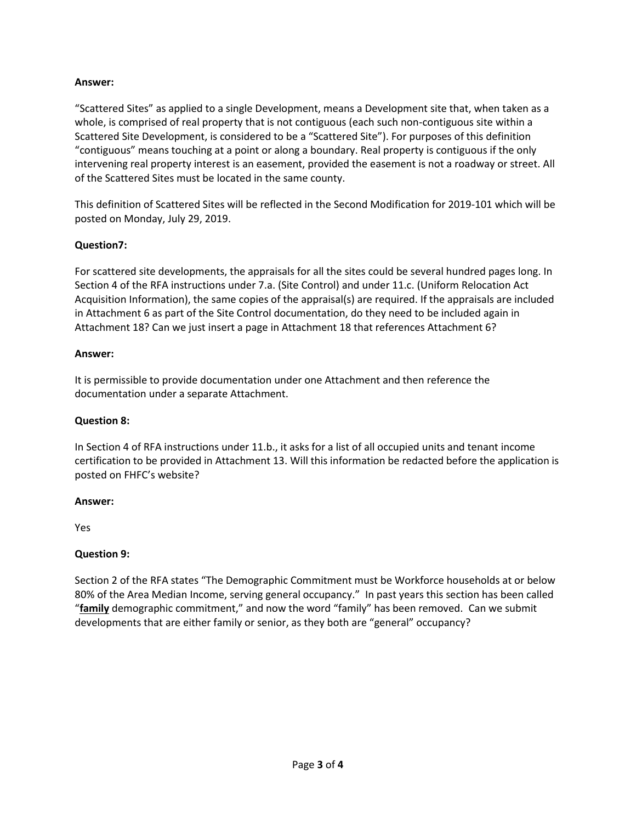## **Answer:**

"Scattered Sites" as applied to a single Development, means a Development site that, when taken as a whole, is comprised of real property that is not contiguous (each such non-contiguous site within a Scattered Site Development, is considered to be a "Scattered Site"). For purposes of this definition "contiguous" means touching at a point or along a boundary. Real property is contiguous if the only intervening real property interest is an easement, provided the easement is not a roadway or street. All of the Scattered Sites must be located in the same county.

This definition of Scattered Sites will be reflected in the Second Modification for 2019-101 which will be posted on Monday, July 29, 2019.

# **Question7:**

For scattered site developments, the appraisals for all the sites could be several hundred pages long. In Section 4 of the RFA instructions under 7.a. (Site Control) and under 11.c. (Uniform Relocation Act Acquisition Information), the same copies of the appraisal(s) are required. If the appraisals are included in Attachment 6 as part of the Site Control documentation, do they need to be included again in Attachment 18? Can we just insert a page in Attachment 18 that references Attachment 6?

#### **Answer:**

It is permissible to provide documentation under one Attachment and then reference the documentation under a separate Attachment.

# **Question 8:**

In Section 4 of RFA instructions under 11.b., it asks for a list of all occupied units and tenant income certification to be provided in Attachment 13. Will this information be redacted before the application is posted on FHFC's website?

#### **Answer:**

Yes

# **Question 9:**

Section 2 of the RFA states "The Demographic Commitment must be Workforce households at or below 80% of the Area Median Income, serving general occupancy." In past years this section has been called "**family** demographic commitment," and now the word "family" has been removed. Can we submit developments that are either family or senior, as they both are "general" occupancy?